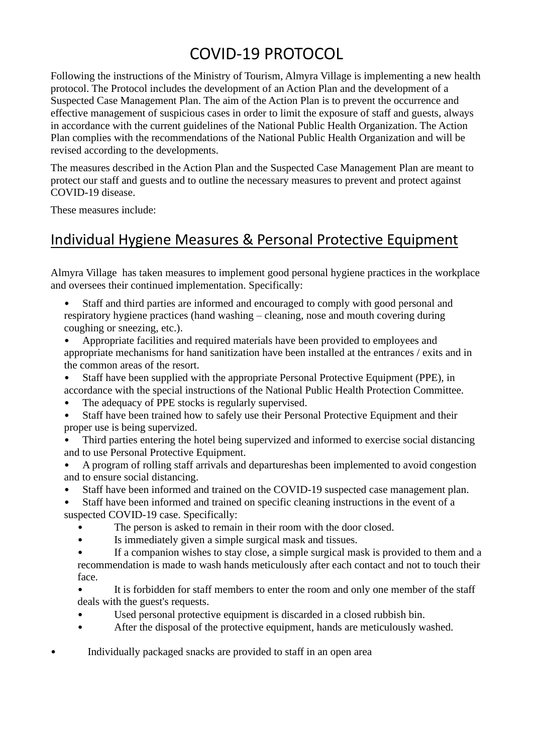# COVID-19 PROTOCOL

Following the instructions of the Ministry of Tourism, Almyra Village is implementing a new health protocol. The Protocol includes the development of an Action Plan and the development of a Suspected Case Management Plan. The aim of the Action Plan is to prevent the occurrence and effective management of suspicious cases in order to limit the exposure of staff and guests, always in accordance with the current guidelines of the National Public Health Organization. The Action Plan complies with the recommendations of the National Public Health Organization and will be revised according to the developments.

The measures described in the Action Plan and the Suspected Case Management Plan are meant to protect our staff and guests and to outline the necessary measures to prevent and protect against COVID-19 disease.

These measures include:

## Individual Hygiene Measures & Personal Protective Equipment

Almyra Village has taken measures to implement good personal hygiene practices in the workplace and oversees their continued implementation. Specifically:

• Staff and third parties are informed and encouraged to comply with good personal and respiratory hygiene practices (hand washing – cleaning, nose and mouth covering during coughing or sneezing, etc.).

• Appropriate facilities and required materials have been provided to employees and appropriate mechanisms for hand sanitization have been installed at the entrances / exits and in the common areas of the resort.

- Staff have been supplied with the appropriate Personal Protective Equipment (PPE), in accordance with the special instructions of the National Public Health Protection Committee.
- The adequacy of PPE stocks is regularly supervised.
- Staff have been trained how to safely use their Personal Protective Equipment and their proper use is being supervized.

• Third parties entering the hotel being supervized and informed to exercise social distancing and to use Personal Protective Equipment.

- A program of rolling staff arrivals and departureshas been implemented to avoid congestion and to ensure social distancing.
- Staff have been informed and trained on the COVID-19 suspected case management plan.

• Staff have been informed and trained on specific cleaning instructions in the event of a suspected COVID-19 case. Specifically:

- The person is asked to remain in their room with the door closed.
- Is immediately given a simple surgical mask and tissues.
- If a companion wishes to stay close, a simple surgical mask is provided to them and a recommendation is made to wash hands meticulously after each contact and not to touch their face.

• It is forbidden for staff members to enter the room and only one member of the staff deals with the guest's requests.

- Used personal protective equipment is discarded in a closed rubbish bin.
- After the disposal of the protective equipment, hands are meticulously washed.

• Individually packaged snacks are provided to staff in an open area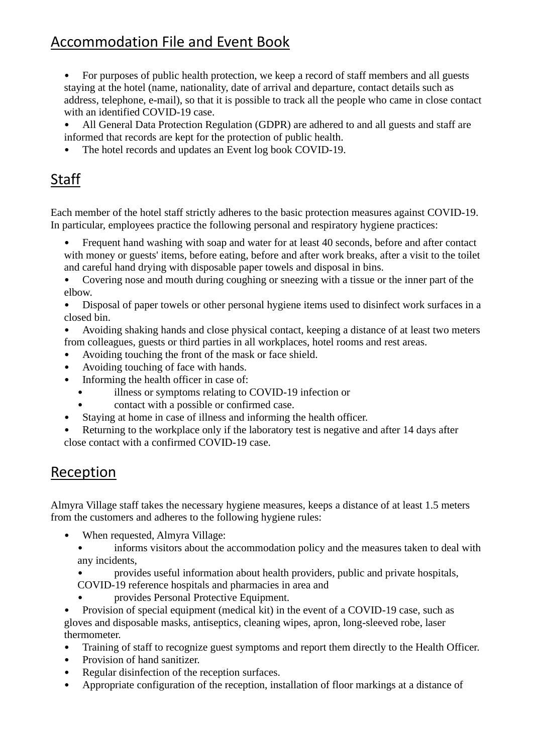## Accommodation File and Event Book

• For purposes of public health protection, we keep a record of staff members and all guests staying at the hotel (name, nationality, date of arrival and departure, contact details such as address, telephone, e-mail), so that it is possible to track all the people who came in close contact with an identified COVID-19 case.

• All General Data Protection Regulation (GDPR) are adhered to and all guests and staff are informed that records are kept for the protection of public health.

• The hotel records and updates an Event log book COVID-19.

## Staff

Each member of the hotel staff strictly adheres to the basic protection measures against COVID-19. In particular, employees practice the following personal and respiratory hygiene practices:

• Frequent hand washing with soap and water for at least 40 seconds, before and after contact with money or guests' items, before eating, before and after work breaks, after a visit to the toilet and careful hand drying with disposable paper towels and disposal in bins.

• Covering nose and mouth during coughing or sneezing with a tissue or the inner part of the elbow.

• Disposal of paper towels or other personal hygiene items used to disinfect work surfaces in a closed bin.

• Avoiding shaking hands and close physical contact, keeping a distance of at least two meters from colleagues, guests or third parties in all workplaces, hotel rooms and rest areas.

- Avoiding touching the front of the mask or face shield.
- Avoiding touching of face with hands.
- Informing the health officer in case of:
	- illness or symptoms relating to COVID-19 infection or
	- contact with a possible or confirmed case.
- Staying at home in case of illness and informing the health officer.
- Returning to the workplace only if the laboratory test is negative and after 14 days after close contact with a confirmed COVID-19 case.

### Reception

Almyra Village staff takes the necessary hygiene measures, keeps a distance of at least 1.5 meters from the customers and adheres to the following hygiene rules:

- When requested, Almyra Village:
	- informs visitors about the accommodation policy and the measures taken to deal with any incidents,

• provides useful information about health providers, public and private hospitals, COVID-19 reference hospitals and pharmacies in area and

• provides Personal Protective Equipment.

• Provision of special equipment (medical kit) in the event of a COVID-19 case, such as gloves and disposable masks, antiseptics, cleaning wipes, apron, long-sleeved robe, laser thermometer.

- Training of staff to recognize guest symptoms and report them directly to the Health Officer.
- Provision of hand sanitizer.
- Regular disinfection of the reception surfaces.
- Appropriate configuration of the reception, installation of floor markings at a distance of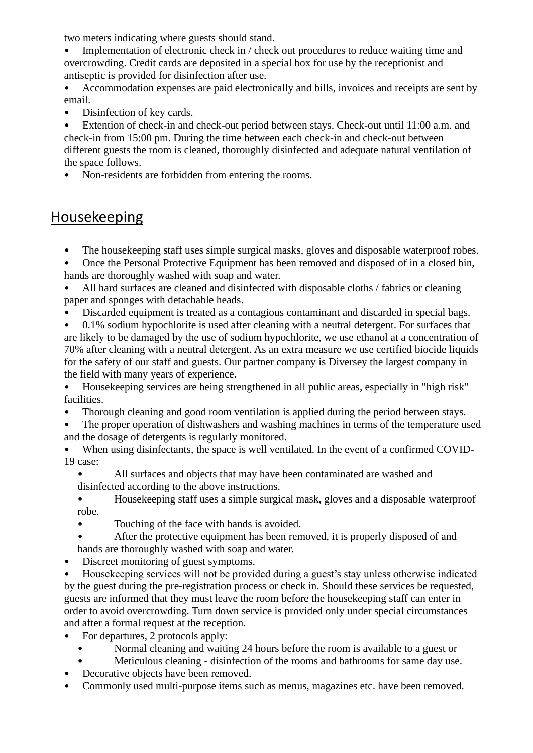two meters indicating where guests should stand.

Implementation of electronic check in / check out procedures to reduce waiting time and overcrowding. Credit cards are deposited in a special box for use by the receptionist and antiseptic is provided for disinfection after use.

• Accommodation expenses are paid electronically and bills, invoices and receipts are sent by email.

Disinfection of key cards.

• Extention of check-in and check-out period between stays. Check-out until 11:00 a.m. and check-in from 15:00 pm. During the time between each check-in and check-out between different guests the room is cleaned, thoroughly disinfected and adequate natural ventilation of the space follows.

• Non-residents are forbidden from entering the rooms.

#### Housekeeping

• The housekeeping staff uses simple surgical masks, gloves and disposable waterproof robes.

• Once the Personal Protective Equipment has been removed and disposed of in a closed bin, hands are thoroughly washed with soap and water.

- All hard surfaces are cleaned and disinfected with disposable cloths / fabrics or cleaning paper and sponges with detachable heads.
- Discarded equipment is treated as a contagious contaminant and discarded in special bags.

• 0.1% sodium hypochlorite is used after cleaning with a neutral detergent. For surfaces that are likely to be damaged by the use of sodium hypochlorite, we use ethanol at a concentration of 70% after cleaning with a neutral detergent. As an extra measure we use certified biocide liquids for the safety of our staff and guests. Our partner company is Diversey the largest company in the field with many years of experience.

• Housekeeping services are being strengthened in all public areas, especially in "high risk" facilities.

- Thorough cleaning and good room ventilation is applied during the period between stays.
- The proper operation of dishwashers and washing machines in terms of the temperature used and the dosage of detergents is regularly monitored.
- When using disinfectants, the space is well ventilated. In the event of a confirmed COVID-19 case:
	- All surfaces and objects that may have been contaminated are washed and disinfected according to the above instructions.

• Housekeeping staff uses a simple surgical mask, gloves and a disposable waterproof robe.

- Touching of the face with hands is avoided.
- After the protective equipment has been removed, it is properly disposed of and hands are thoroughly washed with soap and water.
- Discreet monitoring of guest symptoms.

• Housekeeping services will not be provided during a guest's stay unless otherwise indicated by the guest during the pre-registration process or check in. Should these services be requested, guests are informed that they must leave the room before the housekeeping staff can enter in order to avoid overcrowding. Turn down service is provided only under special circumstances and after a formal request at the reception.

- For departures, 2 protocols apply:
	- Normal cleaning and waiting 24 hours before the room is available to a guest or
	- Meticulous cleaning disinfection of the rooms and bathrooms for same day use.
- Decorative objects have been removed.
- Commonly used multi-purpose items such as menus, magazines etc. have been removed.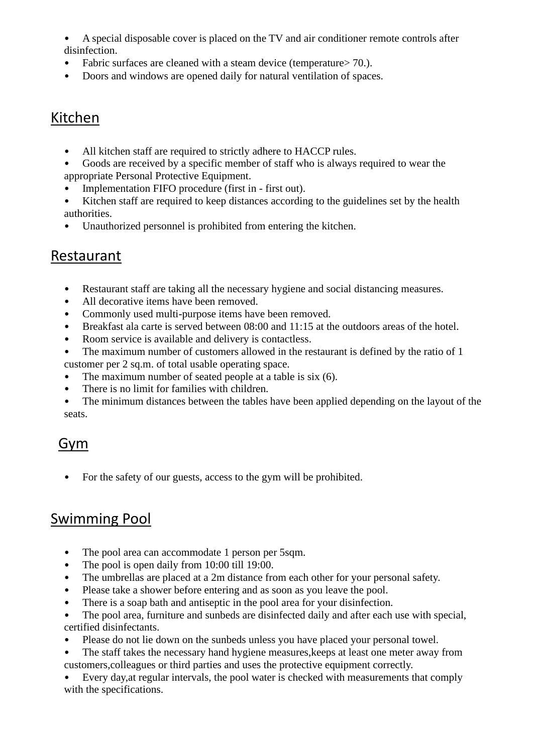- A special disposable cover is placed on the TV and air conditioner remote controls after disinfection.
- Fabric surfaces are cleaned with a steam device (temperature > 70.).
- Doors and windows are opened daily for natural ventilation of spaces.

#### Kitchen

- All kitchen staff are required to strictly adhere to HACCP rules.
- Goods are received by a specific member of staff who is always required to wear the appropriate Personal Protective Equipment.
- Implementation FIFO procedure (first in first out).
- Kitchen staff are required to keep distances according to the guidelines set by the health authorities.
- Unauthorized personnel is prohibited from entering the kitchen.

#### Restaurant

- Restaurant staff are taking all the necessary hygiene and social distancing measures.
- All decorative items have been removed.
- Commonly used multi-purpose items have been removed.
- Breakfast ala carte is served between 08:00 and 11:15 at the outdoors areas of the hotel.
- Room service is available and delivery is contactless.
- The maximum number of customers allowed in the restaurant is defined by the ratio of 1 customer per 2 sq.m. of total usable operating space.
- The maximum number of seated people at a table is six (6).
- There is no limit for families with children.
- The minimum distances between the tables have been applied depending on the layout of the seats.

### Gym

• For the safety of our guests, access to the gym will be prohibited.

### Swimming Pool

- The pool area can accommodate 1 person per 5sqm.
- The pool is open daily from 10:00 till 19:00.
- The umbrellas are placed at a 2m distance from each other for your personal safety.
- Please take a shower before entering and as soon as you leave the pool.
- There is a soap bath and antiseptic in the pool area for your disinfection.
- The pool area, furniture and sunbeds are disinfected daily and after each use with special, certified disinfectants.
- Please do not lie down on the sunbeds unless you have placed your personal towel.
- The staff takes the necessary hand hygiene measures, keeps at least one meter away from customers,colleagues or third parties and uses the protective equipment correctly.
- Every day,at regular intervals, the pool water is checked with measurements that comply with the specifications.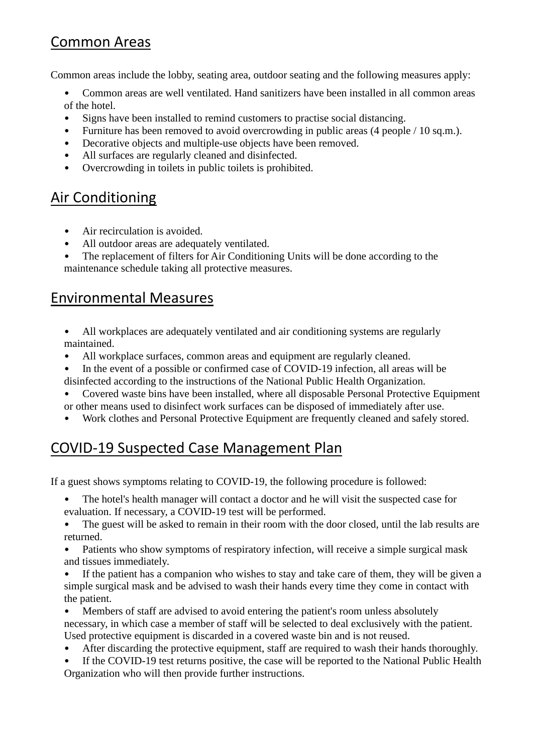### Common Areas

Common areas include the lobby, seating area, outdoor seating and the following measures apply:

• Common areas are well ventilated. Hand sanitizers have been installed in all common areas of the hotel.

- Signs have been installed to remind customers to practise social distancing.
- Furniture has been removed to avoid overcrowding in public areas (4 people / 10 sq.m.).
- Decorative objects and multiple-use objects have been removed.
- All surfaces are regularly cleaned and disinfected.
- Overcrowding in toilets in public toilets is prohibited.

## Air Conditioning

- Air recirculation is avoided.
- All outdoor areas are adequately ventilated.
- The replacement of filters for Air Conditioning Units will be done according to the maintenance schedule taking all protective measures.

#### Environmental Measures

- All workplaces are adequately ventilated and air conditioning systems are regularly maintained.
- All workplace surfaces, common areas and equipment are regularly cleaned.
- In the event of a possible or confirmed case of COVID-19 infection, all areas will be disinfected according to the instructions of the National Public Health Organization.
- Covered waste bins have been installed, where all disposable Personal Protective Equipment or other means used to disinfect work surfaces can be disposed of immediately after use.
- Work clothes and Personal Protective Equipment are frequently cleaned and safely stored.

## COVID-19 Suspected Case Management Plan

If a guest shows symptoms relating to COVID-19, the following procedure is followed:

The hotel's health manager will contact a doctor and he will visit the suspected case for evaluation. If necessary, a COVID-19 test will be performed.

- The guest will be asked to remain in their room with the door closed, until the lab results are returned.
- Patients who show symptoms of respiratory infection, will receive a simple surgical mask and tissues immediately.
- If the patient has a companion who wishes to stay and take care of them, they will be given a simple surgical mask and be advised to wash their hands every time they come in contact with the patient.

• Members of staff are advised to avoid entering the patient's room unless absolutely necessary, in which case a member of staff will be selected to deal exclusively with the patient. Used protective equipment is discarded in a covered waste bin and is not reused.

- After discarding the protective equipment, staff are required to wash their hands thoroughly.
- If the COVID-19 test returns positive, the case will be reported to the National Public Health Organization who will then provide further instructions.